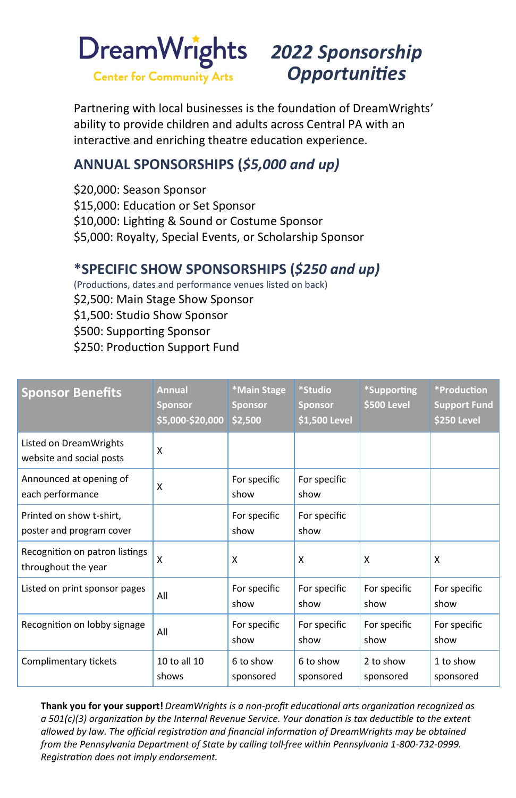

## *Opportunities*

Partnering with local businesses is the foundation of DreamWrights' ability to provide children and adults across Central PA with an interactive and enriching theatre education experience.

## **ANNUAL SPONSORSHIPS (***\$5,000 and up)*

\$20,000: Season Sponsor \$15,000: Education or Set Sponsor \$10,000: Lighting & Sound or Costume Sponsor \$5,000: Royalty, Special Events, or Scholarship Sponsor

## **\*SPECIFIC SHOW SPONSORSHIPS (***\$250 and up)*

(Productions, dates and performance venues listed on back) \$2,500: Main Stage Show Sponsor \$1,500: Studio Show Sponsor \$500: Supporting Sponsor \$250: Production Support Fund

| <b>Sponsor Benefits</b>                               | <b>Annual</b><br><b>Sponsor</b><br>\$5,000-\$20,000 | *Main Stage<br><b>Sponsor</b><br>\$2,500 | *Studio<br><b>Sponsor</b><br>\$1,500 Level | *Supporting<br>\$500 Level | *Production<br><b>Support Fund</b><br>\$250 Level |
|-------------------------------------------------------|-----------------------------------------------------|------------------------------------------|--------------------------------------------|----------------------------|---------------------------------------------------|
| Listed on DreamWrights<br>website and social posts    | X                                                   |                                          |                                            |                            |                                                   |
| Announced at opening of<br>each performance           | X                                                   | For specific<br>show                     | For specific<br>show                       |                            |                                                   |
| Printed on show t-shirt,<br>poster and program cover  |                                                     | For specific<br>show                     | For specific<br>show                       |                            |                                                   |
| Recognition on patron listings<br>throughout the year | X                                                   | X                                        | x                                          | X                          | x                                                 |
| Listed on print sponsor pages                         | All                                                 | For specific<br>show                     | For specific<br>show                       | For specific<br>show       | For specific<br>show                              |
| Recognition on lobby signage                          | All                                                 | For specific<br>show                     | For specific<br>show                       | For specific<br>show       | For specific<br>show                              |
| Complimentary tickets                                 | 10 to all 10<br>shows                               | 6 to show<br>sponsored                   | 6 to show<br>sponsored                     | 2 to show<br>sponsored     | 1 to show<br>sponsored                            |

**Thank you for your support!** *DreamWrights is a non-profit educational arts organization recognized as a 501(c)(3) organization by the Internal Revenue Service. Your donation is tax deductible to the extent allowed by law. The official registration and financial information of DreamWrights may be obtained from the Pennsylvania Department of State by calling toll-free within Pennsylvania 1-800-732-0999. Registration does not imply endorsement.*